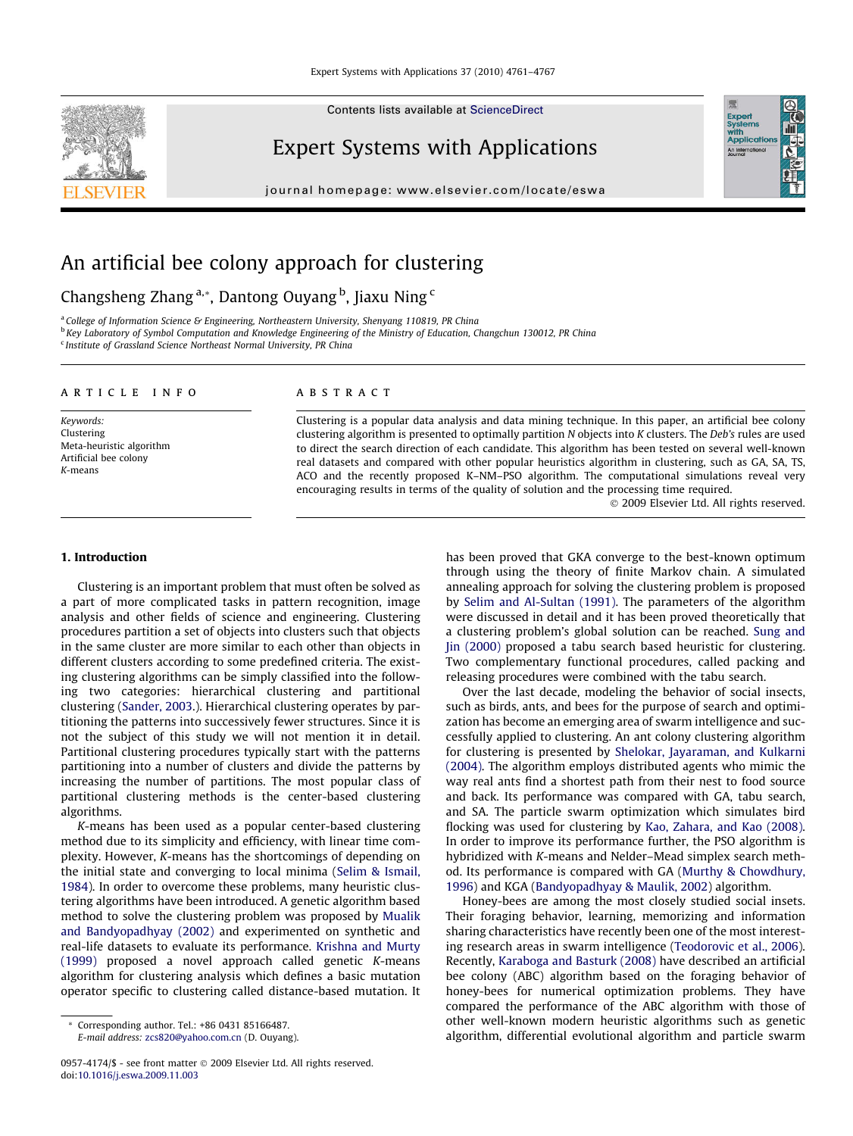Contents lists available at [ScienceDirect](http://www.sciencedirect.com/science/journal/09574174)

## Expert Systems with Applications

journal homepage: [www.elsevier.com/locate/eswa](http://www.elsevier.com/locate/eswa)



### Changsheng Zhang<sup>a,\*</sup>, Dantong Ouyang <sup>b</sup>, Jiaxu Ning <sup>c</sup>

<sup>a</sup> College of Information Science & Engineering, Northeastern University, Shenyang 110819, PR China <sup>b</sup> Key Laboratory of Symbol Computation and Knowledge Engineering of the Ministry of Education, Changchun 130012, PR China <sup>c</sup> Institute of Grassland Science Northeast Normal University, PR China

#### ARTICLE INFO

Keywords: Clustering Meta-heuristic algorithm Artificial bee colony K-means

#### ABSTRACT

Clustering is a popular data analysis and data mining technique. In this paper, an artificial bee colony clustering algorithm is presented to optimally partition N objects into K clusters. The Deb's rules are used to direct the search direction of each candidate. This algorithm has been tested on several well-known real datasets and compared with other popular heuristics algorithm in clustering, such as GA, SA, TS, ACO and the recently proposed K–NM–PSO algorithm. The computational simulations reveal very encouraging results in terms of the quality of solution and the processing time required.

- 2009 Elsevier Ltd. All rights reserved.

#### 1. Introduction

Clustering is an important problem that must often be solved as a part of more complicated tasks in pattern recognition, image analysis and other fields of science and engineering. Clustering procedures partition a set of objects into clusters such that objects in the same cluster are more similar to each other than objects in different clusters according to some predefined criteria. The existing clustering algorithms can be simply classified into the following two categories: hierarchical clustering and partitional clustering [\(Sander, 2003](#page--1-0).). Hierarchical clustering operates by partitioning the patterns into successively fewer structures. Since it is not the subject of this study we will not mention it in detail. Partitional clustering procedures typically start with the patterns partitioning into a number of clusters and divide the patterns by increasing the number of partitions. The most popular class of partitional clustering methods is the center-based clustering algorithms.

K-means has been used as a popular center-based clustering method due to its simplicity and efficiency, with linear time complexity. However, K-means has the shortcomings of depending on the initial state and converging to local minima [\(Selim & Ismail,](#page--1-0) [1984\)](#page--1-0). In order to overcome these problems, many heuristic clustering algorithms have been introduced. A genetic algorithm based method to solve the clustering problem was proposed by [Mualik](#page--1-0) [and Bandyopadhyay \(2002\)](#page--1-0) and experimented on synthetic and real-life datasets to evaluate its performance. [Krishna and Murty](#page--1-0) [\(1999\)](#page--1-0) proposed a novel approach called genetic K-means algorithm for clustering analysis which defines a basic mutation operator specific to clustering called distance-based mutation. It

has been proved that GKA converge to the best-known optimum through using the theory of finite Markov chain. A simulated annealing approach for solving the clustering problem is proposed by [Selim and Al-Sultan \(1991\).](#page--1-0) The parameters of the algorithm were discussed in detail and it has been proved theoretically that a clustering problem's global solution can be reached. [Sung and](#page--1-0) [Jin \(2000\)](#page--1-0) proposed a tabu search based heuristic for clustering. Two complementary functional procedures, called packing and releasing procedures were combined with the tabu search.

Over the last decade, modeling the behavior of social insects, such as birds, ants, and bees for the purpose of search and optimization has become an emerging area of swarm intelligence and successfully applied to clustering. An ant colony clustering algorithm for clustering is presented by [Shelokar, Jayaraman, and Kulkarni](#page--1-0) [\(2004\)](#page--1-0). The algorithm employs distributed agents who mimic the way real ants find a shortest path from their nest to food source and back. Its performance was compared with GA, tabu search, and SA. The particle swarm optimization which simulates bird flocking was used for clustering by [Kao, Zahara, and Kao \(2008\).](#page--1-0) In order to improve its performance further, the PSO algorithm is hybridized with K-means and Nelder–Mead simplex search method. Its performance is compared with GA ([Murthy & Chowdhury,](#page--1-0) [1996\)](#page--1-0) and KGA [\(Bandyopadhyay & Maulik, 2002](#page--1-0)) algorithm.

Honey-bees are among the most closely studied social insets. Their foraging behavior, learning, memorizing and information sharing characteristics have recently been one of the most interesting research areas in swarm intelligence [\(Teodorovic et al., 2006\)](#page--1-0). Recently, [Karaboga and Basturk \(2008\)](#page--1-0) have described an artificial bee colony (ABC) algorithm based on the foraging behavior of honey-bees for numerical optimization problems. They have compared the performance of the ABC algorithm with those of other well-known modern heuristic algorithms such as genetic algorithm, differential evolutional algorithm and particle swarm





Corresponding author. Tel.: +86 0431 85166487. E-mail address: [zcs820@yahoo.com.cn](mailto:zcs820@yahoo.com.cn) (D. Ouyang).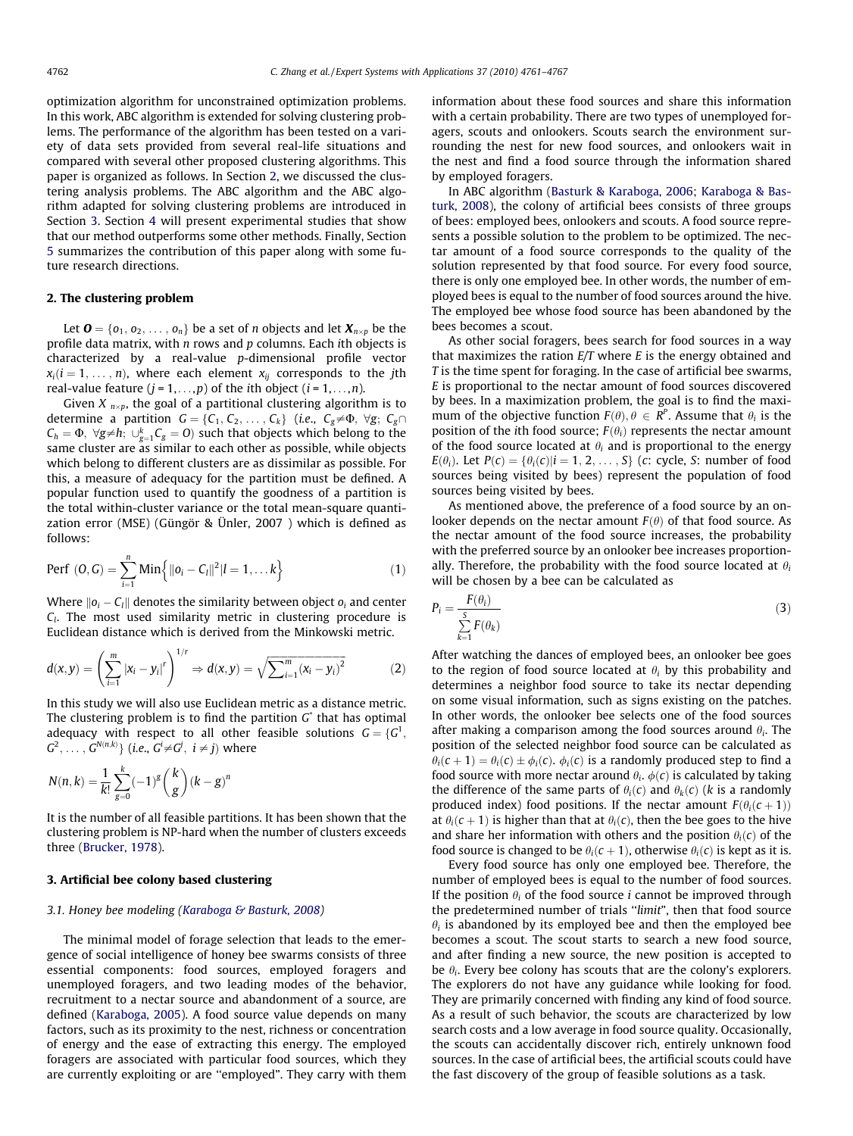optimization algorithm for unconstrained optimization problems. In this work, ABC algorithm is extended for solving clustering problems. The performance of the algorithm has been tested on a variety of data sets provided from several real-life situations and compared with several other proposed clustering algorithms. This paper is organized as follows. In Section 2, we discussed the clustering analysis problems. The ABC algorithm and the ABC algorithm adapted for solving clustering problems are introduced in Section 3. Section [4](#page--1-0) will present experimental studies that show that our method outperforms some other methods. Finally, Section [5](#page--1-0) summarizes the contribution of this paper along with some future research directions.

#### 2. The clustering problem

Let  $\boldsymbol{0} = \{o_1, o_2, \dots, o_n\}$  be a set of  $n$  objects and let  $\boldsymbol{X}_{n \times p}$  be the profile data matrix, with  $n$  rows and  $p$  columns. Each ith objects is characterized by a real-value p-dimensional profile vector  $x_i(i = 1, \ldots, n)$ , where each element  $x_{ii}$  corresponds to the jth real-value feature  $(j = 1, \ldots, p)$  of the *i*th object  $(i = 1, \ldots, n)$ .

Given X  $_{n\times p}$ , the goal of a partitional clustering algorithm is to determine a partition  $G = \{C_1, C_2, \ldots, C_k\}$  (i.e.,  $C_g \neq \Phi$ ,  $\forall g; C_g \cap$  $\mathcal{C}_h = \Phi, \; \forall \mathsf{g} {\neq} h; \; \cup_{\mathsf{g}=1}^k \mathcal{C}_{\mathsf{g}} = 0$ ) such that objects which belong to the same cluster are as similar to each other as possible, while objects which belong to different clusters are as dissimilar as possible. For this, a measure of adequacy for the partition must be defined. A popular function used to quantify the goodness of a partition is the total within-cluster variance or the total mean-square quantization error (MSE) (Güngör & Ünler, 2007 ) which is defined as follows:

$$
Perf (0, G) = \sum_{i=1}^{n} Min \{ ||o_i - C_l||^2 | l = 1, ... k \}
$$
 (1)

Where  $\|o_i - C_l\|$  denotes the similarity between object  $o_i$  and center  $C_l$ . The most used similarity metric in clustering procedure is Euclidean distance which is derived from the Minkowski metric.

$$
d(x,y) = \left(\sum_{i=1}^{m} |x_i - y_i|^r\right)^{1/r} \Rightarrow d(x,y) = \sqrt{\sum_{i=1}^{m} (x_i - y_i)^2}
$$
 (2)

In this study we will also use Euclidean metric as a distance metric. The clustering problem is to find the partition  $G^*$  that has optimal adequacy with respect to all other feasible solutions  $G = \{G^1,$  $G^2, \ldots, G^{N(n,k)}\}$  (*i.e.*,  $G^i \neq G^j, \ i \neq j$ ) where

$$
N(n,k) = \frac{1}{k!} \sum_{g=0}^{k} (-1)^{g} {k \choose g} (k - g)^{n}
$$

It is the number of all feasible partitions. It has been shown that the clustering problem is NP-hard when the number of clusters exceeds three ([Brucker, 1978](#page--1-0)).

#### 3. Artificial bee colony based clustering

#### 3.1. Honey bee modeling ([Karaboga & Basturk, 2008](#page--1-0))

The minimal model of forage selection that leads to the emergence of social intelligence of honey bee swarms consists of three essential components: food sources, employed foragers and unemployed foragers, and two leading modes of the behavior, recruitment to a nectar source and abandonment of a source, are defined [\(Karaboga, 2005](#page--1-0)). A food source value depends on many factors, such as its proximity to the nest, richness or concentration of energy and the ease of extracting this energy. The employed foragers are associated with particular food sources, which they are currently exploiting or are ''employed". They carry with them

information about these food sources and share this information with a certain probability. There are two types of unemployed foragers, scouts and onlookers. Scouts search the environment surrounding the nest for new food sources, and onlookers wait in the nest and find a food source through the information shared by employed foragers.

In ABC algorithm ([Basturk & Karaboga, 2006; Karaboga & Bas](#page--1-0)[turk, 2008\)](#page--1-0), the colony of artificial bees consists of three groups of bees: employed bees, onlookers and scouts. A food source represents a possible solution to the problem to be optimized. The nectar amount of a food source corresponds to the quality of the solution represented by that food source. For every food source, there is only one employed bee. In other words, the number of employed bees is equal to the number of food sources around the hive. The employed bee whose food source has been abandoned by the bees becomes a scout.

As other social foragers, bees search for food sources in a way that maximizes the ration  $E/T$  where E is the energy obtained and T is the time spent for foraging. In the case of artificial bee swarms, E is proportional to the nectar amount of food sources discovered by bees. In a maximization problem, the goal is to find the maximum of the objective function  $F(\theta)$ ,  $\theta \in \mathbb{R}^P$ . Assume that  $\theta_i$  is the position of the ith food source;  $F(\theta_i)$  represents the nectar amount of the food source located at  $\theta_i$  and is proportional to the energy  $E(\theta_i)$ . Let  $P(c) = {\theta_i(c)|i = 1, 2, ..., S}$  (c: cycle, S: number of food sources being visited by bees) represent the population of food sources being visited by bees.

As mentioned above, the preference of a food source by an onlooker depends on the nectar amount  $F(\theta)$  of that food source. As the nectar amount of the food source increases, the probability with the preferred source by an onlooker bee increases proportionally. Therefore, the probability with the food source located at  $\theta_i$ will be chosen by a bee can be calculated as

$$
P_i = \frac{F(\theta_i)}{\sum_{k=1}^{S} F(\theta_k)}
$$
(3)

After watching the dances of employed bees, an onlooker bee goes to the region of food source located at  $\theta_i$  by this probability and determines a neighbor food source to take its nectar depending on some visual information, such as signs existing on the patches. In other words, the onlooker bee selects one of the food sources after making a comparison among the food sources around  $\theta_i$ . The position of the selected neighbor food source can be calculated as  $\theta_i(c + 1) = \theta_i(c) \pm \phi_i(c)$ .  $\phi_i(c)$  is a randomly produced step to find a food source with more nectar around  $\theta_i$ .  $\phi(c)$  is calculated by taking the difference of the same parts of  $\theta_i(c)$  and  $\theta_k(c)$  (k is a randomly produced index) food positions. If the nectar amount  $F(\theta_i(c+1))$ at  $\theta_i(c + 1)$  is higher than that at  $\theta_i(c)$ , then the bee goes to the hive and share her information with others and the position  $\theta_i(c)$  of the food source is changed to be  $\theta_i(c + 1)$ , otherwise  $\theta_i(c)$  is kept as it is.

Every food source has only one employed bee. Therefore, the number of employed bees is equal to the number of food sources. If the position  $\theta_i$  of the food source *i* cannot be improved through the predetermined number of trials "limit", then that food source  $\theta_i$  is abandoned by its employed bee and then the employed bee becomes a scout. The scout starts to search a new food source, and after finding a new source, the new position is accepted to be  $\theta_i$ . Every bee colony has scouts that are the colony's explorers. The explorers do not have any guidance while looking for food. They are primarily concerned with finding any kind of food source. As a result of such behavior, the scouts are characterized by low search costs and a low average in food source quality. Occasionally, the scouts can accidentally discover rich, entirely unknown food sources. In the case of artificial bees, the artificial scouts could have the fast discovery of the group of feasible solutions as a task.